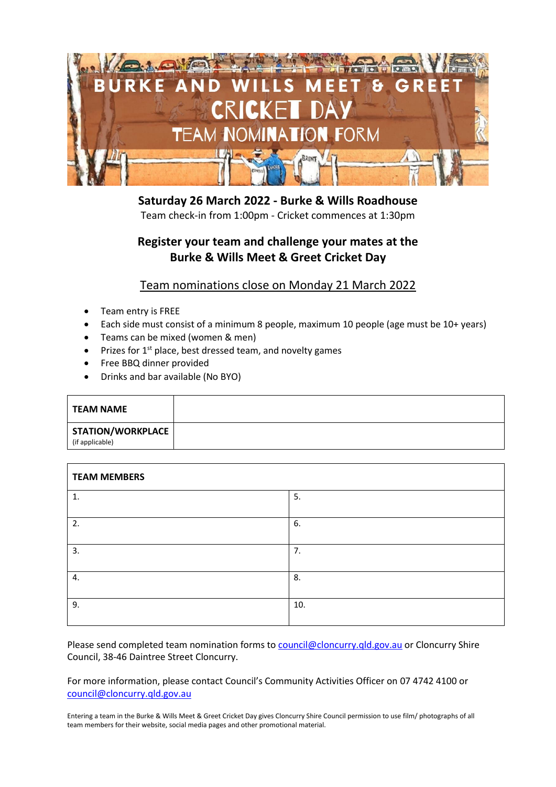

**Saturday 26 March 2022 - Burke & Wills Roadhouse** Team check-in from 1:00pm - Cricket commences at 1:30pm

## **Register your team and challenge your mates at the Burke & Wills Meet & Greet Cricket Day**

### Team nominations close on Monday 21 March 2022

- Team entry is FREE
- Each side must consist of a minimum 8 people, maximum 10 people (age must be 10+ years)
- Teams can be mixed (women & men)
- $\bullet$  Prizes for 1<sup>st</sup> place, best dressed team, and novelty games
- Free BBQ dinner provided
- Drinks and bar available (No BYO)

| <b>TEAM NAME</b>                     |  |
|--------------------------------------|--|
| STATION/WORKPLACE<br>(if applicable) |  |

| <b>TEAM MEMBERS</b> |     |  |
|---------------------|-----|--|
| $\mathbf{1}$        | 5.  |  |
| 2.                  | 6.  |  |
| 3.                  | 7.  |  |
| 4.                  | 8.  |  |
| 9.                  | 10. |  |

Please send completed team nomination forms to [council@cloncurry.qld.gov.au](mailto:council@cloncurry.qld.gov.au) or Cloncurry Shire Council, 38-46 Daintree Street Cloncurry.

For more information, please contact Council's Community Activities Officer on 07 4742 4100 or [council@cloncurry.qld.gov.au](mailto:council@cloncurry.qld.gov.au)

Entering a team in the Burke & Wills Meet & Greet Cricket Day gives Cloncurry Shire Council permission to use film/ photographs of all team members for their website, social media pages and other promotional material.